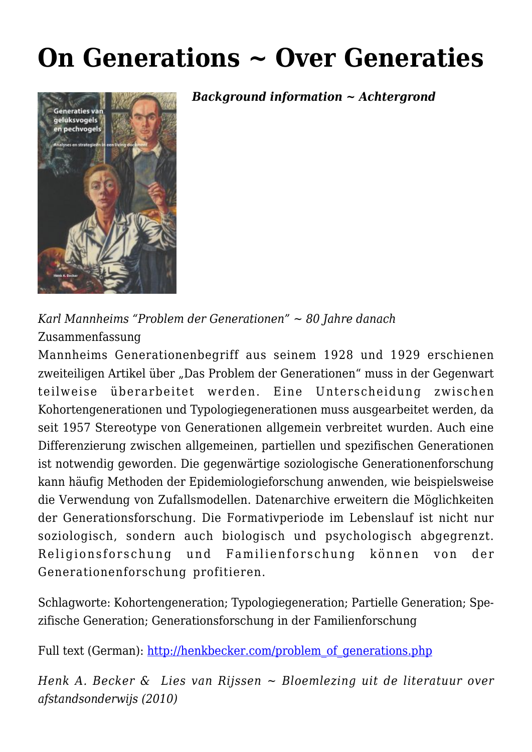# **[On Generations ~ Over Generaties](https://rozenbergquarterly.com/on-generations/)**



*Background information ~ Achtergrond* 

*Karl Mannheims "Problem der Generationen" ~ 80 Jahre danach* Zusammenfassung

Mannheims Generationenbegriff aus seinem 1928 und 1929 erschienen zweiteiligen Artikel über "Das Problem der Generationen" muss in der Gegenwart teilweise überarbeitet werden. Eine Unterscheidung zwischen Kohortengenerationen und Typologiegenerationen muss ausgearbeitet werden, da seit 1957 Stereotype von Generationen allgemein verbreitet wurden. Auch eine Differenzierung zwischen allgemeinen, partiellen und spezifischen Generationen ist notwendig geworden. Die gegenwärtige soziologische Generationenforschung kann häufig Methoden der Epidemiologieforschung anwenden, wie beispielsweise die Verwendung von Zufallsmodellen. Datenarchive erweitern die Möglichkeiten der Generationsforschung. Die Formativperiode im Lebenslauf ist nicht nur soziologisch, sondern auch biologisch und psychologisch abgegrenzt. Religionsforschung und Familienforschung können von der Generationenforschung profitieren.

Schlagworte: Kohortengeneration; Typologiegeneration; Partielle Generation; Spezifische Generation; Generationsforschung in der Familienforschung

Full text (German): [http://henkbecker.com/problem\\_of\\_generations.php](http://henkbecker.com/problem_of_generations.php)

*Henk A. Becker & Lies van Rijssen ~ Bloemlezing uit de literatuur over afstandsonderwijs (2010)*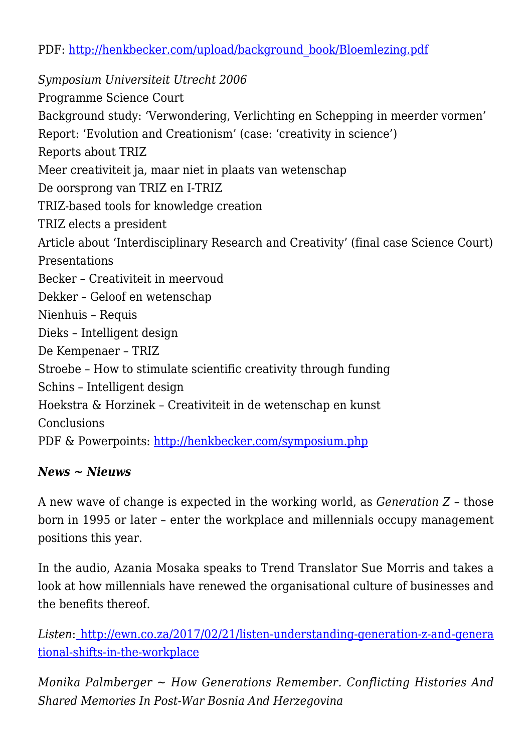PDF: [http://henkbecker.com/upload/background\\_book/Bloemlezing.pdf](http://henkbecker.com/upload/background_book/Bloemlezing.pdf)

*Symposium Universiteit Utrecht 2006* Programme Science Court Background study: 'Verwondering, Verlichting en Schepping in meerder vormen' Report: 'Evolution and Creationism' (case: 'creativity in science') Reports about TRIZ Meer creativiteit ja, maar niet in plaats van wetenschap De oorsprong van TRIZ en I-TRIZ TRIZ-based tools for knowledge creation TRIZ elects a president Article about 'Interdisciplinary Research and Creativity' (final case Science Court) Presentations Becker – Creativiteit in meervoud Dekker – Geloof en wetenschap Nienhuis – Requis Dieks – Intelligent design De Kempenaer – TRIZ Stroebe – How to stimulate scientific creativity through funding Schins – Intelligent design Hoekstra & Horzinek – Creativiteit in de wetenschap en kunst **Conclusions** PDF & Powerpoints:<http://henkbecker.com/symposium.php>

## *News ~ Nieuws*

A new wave of change is expected in the working world, as *Generation Z* – those born in 1995 or later – enter the workplace and millennials occupy management positions this year.

In the audio, Azania Mosaka speaks to Trend Translator Sue Morris and takes a look at how millennials have renewed the organisational culture of businesses and the benefits thereof.

*Listen*: [http://ewn.co.za/2017/02/21/listen-understanding-generation-z-and-genera](http://ewn.co.za/2017/02/21/listen-understanding-generation-z-and-generational-shifts-in-the-workplace) [tional-shifts-in-the-workplace](http://ewn.co.za/2017/02/21/listen-understanding-generation-z-and-generational-shifts-in-the-workplace)

*Monika Palmberger ~ How Generations Remember. Conflicting Histories And Shared Memories In Post-War Bosnia And Herzegovina*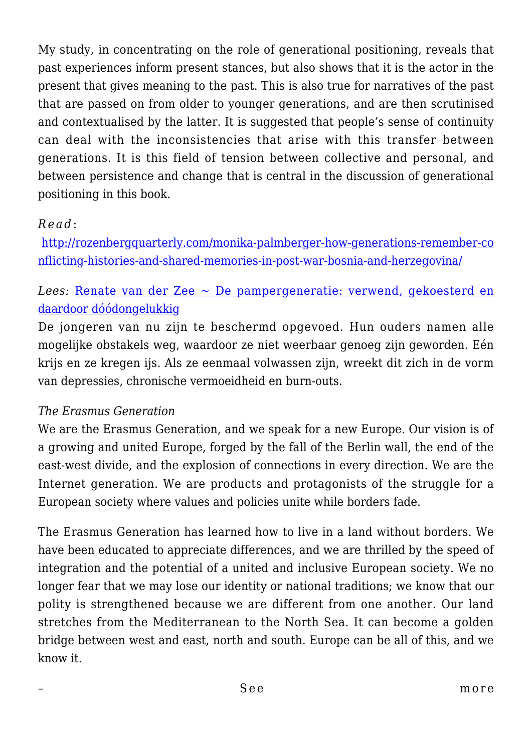My study, in concentrating on the role of generational positioning, reveals that past experiences inform present stances, but also shows that it is the actor in the present that gives meaning to the past. This is also true for narratives of the past that are passed on from older to younger generations, and are then scrutinised and contextualised by the latter. It is suggested that people's sense of continuity can deal with the inconsistencies that arise with this transfer between generations. It is this field of tension between collective and personal, and between persistence and change that is central in the discussion of generational positioning in this book.

### *Read* :

[http://rozenbergquarterly.com/monika-palmberger-how-generations-remember-co](http://rozenbergquarterly.com/monika-palmberger-how-generations-remember-conflicting-histories-and-shared-memories-in-post-war-bosnia-and-herzegovina/) [nflicting-histories-and-shared-memories-in-post-war-bosnia-and-herzegovina/](http://rozenbergquarterly.com/monika-palmberger-how-generations-remember-conflicting-histories-and-shared-memories-in-post-war-bosnia-and-herzegovina/)

## *Lees:* [Renate van der Zee ~ De pampergeneratie: verwend, gekoesterd en](http://www.hpdetijd.nl/2016-03-08/de-pampergeneratie-verwend-gekoesterd-en-daardoor-doodongelukkig/) [daardoor dóódongelukkig](http://www.hpdetijd.nl/2016-03-08/de-pampergeneratie-verwend-gekoesterd-en-daardoor-doodongelukkig/)

De jongeren van nu zijn te beschermd opgevoed. Hun ouders namen alle mogelijke obstakels weg, waardoor ze niet weerbaar genoeg zijn geworden. Eén krijs en ze kregen ijs. Als ze eenmaal volwassen zijn, wreekt dit zich in de vorm van depressies, chronische vermoeidheid en burn-outs.

#### *The Erasmus Generation*

We are the Erasmus Generation, and we speak for a new Europe. Our vision is of a growing and united Europe, forged by the fall of the Berlin wall, the end of the east-west divide, and the explosion of connections in every direction. We are the Internet generation. We are products and protagonists of the struggle for a European society where values and policies unite while borders fade.

The Erasmus Generation has learned how to live in a land without borders. We have been educated to appreciate differences, and we are thrilled by the speed of integration and the potential of a united and inclusive European society. We no longer fear that we may lose our identity or national traditions; we know that our polity is strengthened because we are different from one another. Our land stretches from the Mediterranean to the North Sea. It can become a golden bridge between west and east, north and south. Europe can be all of this, and we know it.